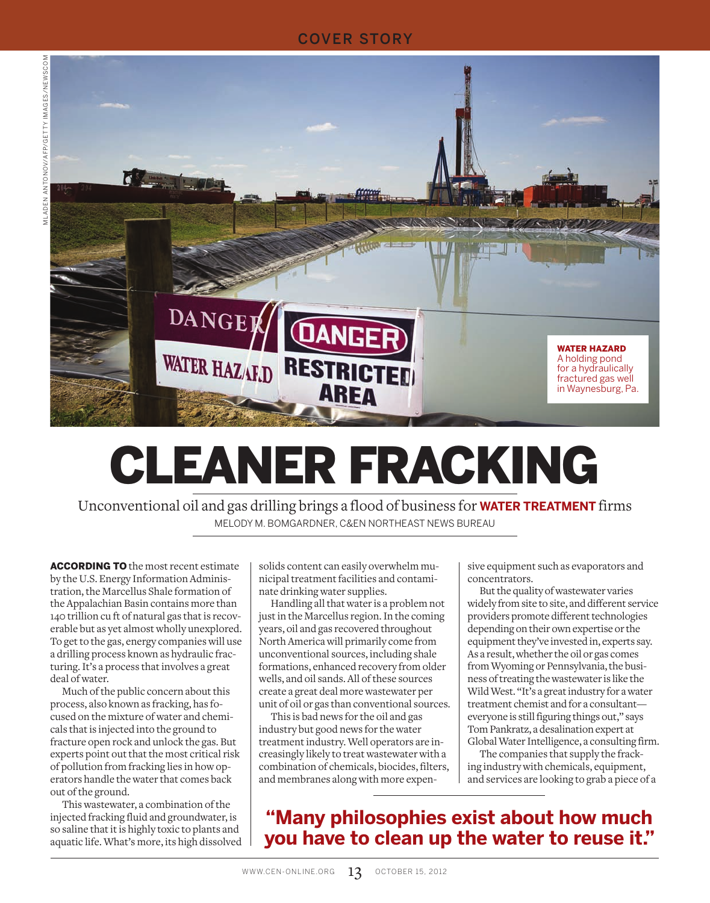#### COVER STORY



# CLEANER FRACKING

Unconventional oil and gas drilling brings a flood of business for **WATER TREATMENT** firms MELODY M. BOMGARDNER, C&EN NORTHEAST NEWS BUREAU

**ACCORDING TO** the most recent estimate by the U.S. Energy Information Administration, the Marcellus Shale formation of the Appalachian Basin contains more than 140 trillion cu ft of natural gas that is recoverable but as yet almost wholly unexplored. To get to the gas, energy companies will use a drilling process known as hydraulic fracturing. It's a process that involves a great deal of water.

Much of the public concern about this process, also known as fracking, has focused on the mixture of water and chemicals that is injected into the ground to fracture open rock and unlock the gas. But experts point out that the most critical risk of pollution from fracking lies in how operators handle the water that comes back out of the ground.

This wastewater, a combination of the injected fracking fluid and groundwater, is so saline that it is highly toxic to plants and aquatic life. What's more, its high dissolved solids content can easily overwhelm municipal treatment facilities and contaminate drinking water supplies.

Handling all that water is a problem not just in the Marcellus region. In the coming years, oil and gas recovered throughout North America will primarily come from unconventional sources, including shale formations, enhanced recovery from older wells, and oil sands. All of these sources create a great deal more wastewater per unit of oil or gas than conventional sources.

This is bad news for the oil and gas industry but good news for the water treatment industry. Well operators are increasingly likely to treat wastewater with a combination of chemicals, biocides, filters, and membranes along with more expensive equipment such as evaporators and concentrators.

But the quality of wastewater varies widely from site to site, and different service providers promote different technologies depending on their own expertise or the equipment they've invested in, experts say. As a result, whether the oil or gas comes from Wyoming or Pennsylvania, the business of treating the wastewater is like the Wild West. "It's a great industry for a water treatment chemist and for a consultant everyone is still figuring things out," says Tom Pankratz, a desalination expert at Global Water Intelligence, a consulting firm.

The companies that supply the fracking industry with chemicals, equipment, and services are looking to grab a piece of a

## **"Many philosophies exist about how much you have to clean up the water to reuse it."**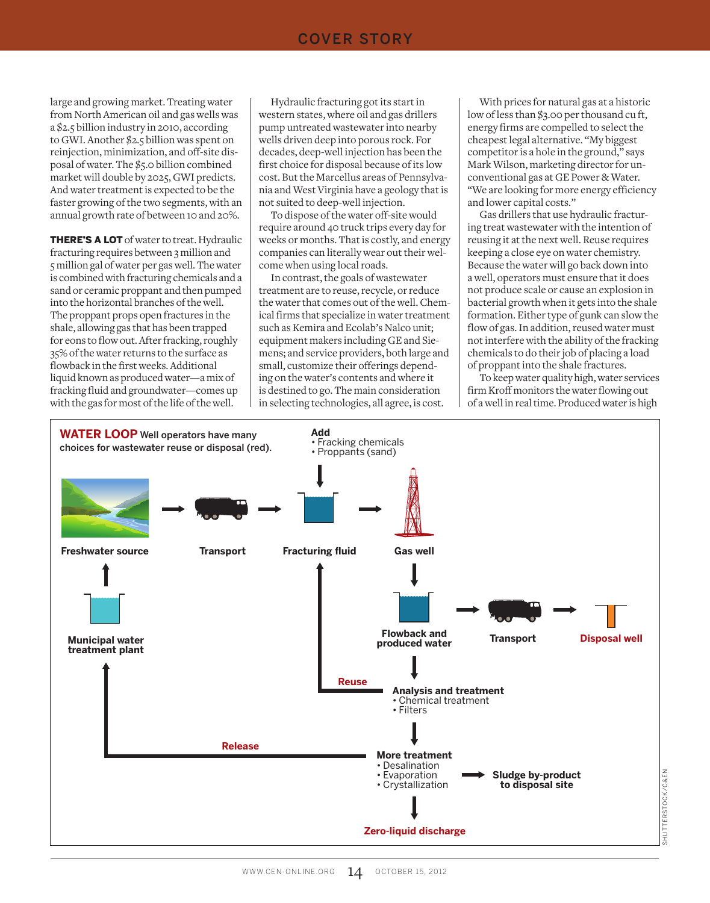#### COVER STORY

large and growing market. Treating water from North American oil and gas wells was a \$2.5 billion industry in 2010, according to GWI. Another \$2.5 billion was spent on reinjection, minimization, and off-site disposal of water. The \$5.0 billion combined market will double by 2025, GWI predicts. And water treatment is expected to be the faster growing of the two segments, with an annual growth rate of between 10 and 20%.

THERE'S A LOT of water to treat. Hydraulic fracturing requires between 3 million and 5 million gal of water per gas well. The water is combined with fracturing chemicals and a sand or ceramic proppant and then pumped into the horizontal branches of the well. The proppant props open fractures in the shale, allowing gas that has been trapped for eons to flow out. After fracking, roughly 35% of the water returns to the surface as flowback in the first weeks. Additional liquid known as produced water—a mix of fracking fluid and groundwater—comes up with the gas for most of the life of the well.

Hydraulic fracturing got its start in western states, where oil and gas drillers pump untreated wastewater into nearby wells driven deep into porous rock. For decades, deep-well injection has been the first choice for disposal because of its low cost. But the Marcellus areas of Pennsylvania and West Virginia have a geology that is not suited to deep-well injection.

To dispose of the water off-site would require around 40 truck trips every day for weeks or months. That is costly, and energy companies can literally wear out their welcome when using local roads.

In contrast, the goals of wastewater treatment are to reuse, recycle, or reduce the water that comes out of the well. Chemical firms that specialize in water treatment such as Kemira and Ecolab's Nalco unit; equipment makers including GE and Siemens; and service providers, both large and small, customize their offerings depending on the water's contents and where it is destined to go. The main consideration in selecting technologies, all agree, is cost.

With prices for natural gas at a historic low of less than \$3.00 per thousand cu ft, energy firms are compelled to select the cheapest legal alternative. "My biggest competitor is a hole in the ground," says Mark Wilson, marketing director for unconventional gas at GE Power & Water. "We are looking for more energy efficiency and lower capital costs."

Gas drillers that use hydraulic fracturing treat wastewater with the intention of reusing it at the next well. Reuse requires keeping a close eye on water chemistry. Because the water will go back down into a well, operators must ensure that it does not produce scale or cause an explosion in bacterial growth when it gets into the shale formation. Either type of gunk can slow the flow of gas. In addition, reused water must not interfere with the ability of the fracking chemicals to do their job of placing a load of proppant into the shale fractures.

To keep water quality high, water services firm Kroff monitors the water flowing out of a well in real time. Produced water is high

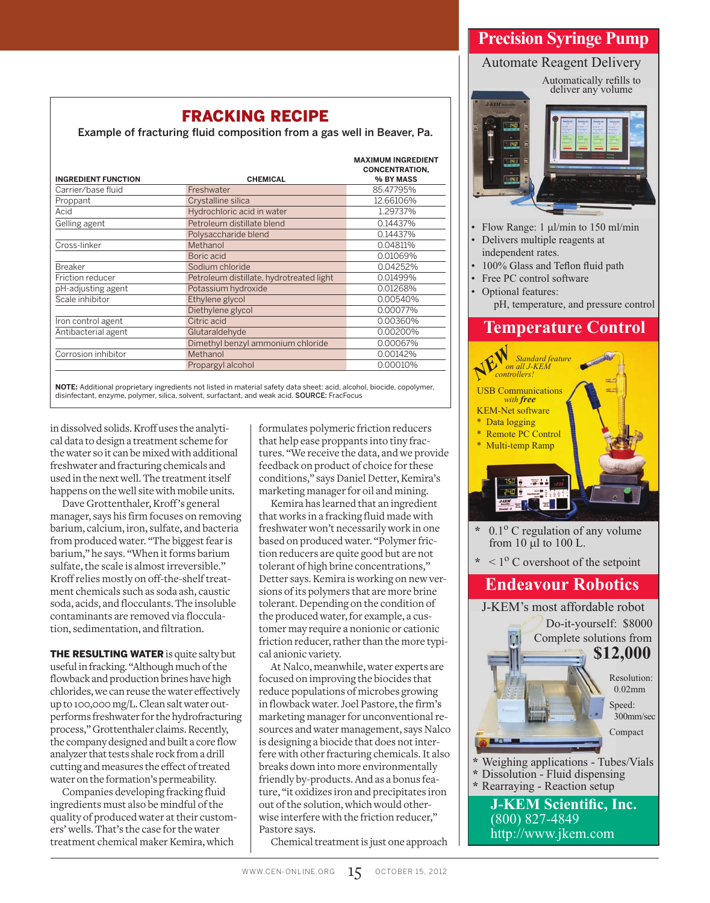## **Precision Syringe Pump** Automate Reagent Delivery

FRACKING RECIPE

Example of fracturing fluid composition from a gas well in Beaver, Pa.

|                            |                                          | <b>MAXIMUM INGREDIENT</b><br><b>CONCENTRATION.</b> |
|----------------------------|------------------------------------------|----------------------------------------------------|
| <b>INGREDIENT FUNCTION</b> | <b>CHEMICAL</b>                          | % BY MASS                                          |
| Carrier/base fluid         | Freshwater                               | 85.47795%                                          |
| Proppant                   | Crystalline silica                       | 12.66106%                                          |
| Acid                       | Hydrochloric acid in water               | 1.29737%                                           |
| Gelling agent              | Petroleum distillate blend               | 0.14437%                                           |
|                            | Polysaccharide blend                     | 0.14437%                                           |
| Cross-linker               | Methanol                                 | 0.04811%                                           |
|                            | Boric acid                               | 0.01069%                                           |
| <b>Breaker</b>             | Sodium chloride                          | 0.04252%                                           |
| Friction reducer           | Petroleum distillate, hydrotreated light | 0.01499%                                           |
| pH-adjusting agent         | Potassium hydroxide                      | 0.01268%                                           |
| Scale inhibitor            | Ethylene glycol                          | 0.00540%                                           |
|                            | Diethylene glycol                        | 0.00077%                                           |
| Iron control agent         | Citric acid                              | 0.00360%                                           |
| Antibacterial agent        | Glutaraldehyde                           | 0.00200%                                           |
|                            | Dimethyl benzyl ammonium chloride        | 0.00067%                                           |
| Corrosion inhibitor        | Methanol                                 | 0.00142%                                           |
|                            | Propargyl alcohol                        | 0.00010%                                           |

**NOTE:** Additional proprietary ingredients not listed in material safety data sheet: acid, alcohol, biocide, copolymer, disinfectant, enzyme, polymer, silica, solvent, surfactant, and weak acid. SOURCE: FracFocus

in dissolved solids. Kroff uses the analytical data to design a treatment scheme for the water so it can be mixed with additional freshwater and fracturing chemicals and used in the next well. The treatment itself happens on the well site with mobile units.

Dave Grottenthaler, Kroff 's general manager, says his firm focuses on removing barium, calcium, iron, sulfate, and bacteria from produced water. "The biggest fear is barium," he says. "When it forms barium sulfate, the scale is almost irreversible." Kroff relies mostly on off-the-shelf treatment chemicals such as soda ash, caustic soda, acids, and flocculants. The insoluble contaminants are removed via flocculation, sedimentation, and filtration.

**THE RESULTING WATER** is quite salty but useful in fracking. "Although much of the flowback and production brines have high chlorides, we can reuse the water effectively up to 100,000 mg/L. Clean salt water outperforms freshwater for the hydrofracturing process," Grottenthaler claims. Recently, the company designed and built a core flow analyzer that tests shale rock from a drill cutting and measures the effect of treated water on the formation's permeability.

Companies developing fracking fluid ingredients must also be mindful of the quality of produced water at their customers' wells. That's the case for the water treatment chemical maker Kemira, which

formulates polymeric friction reducers that help ease proppants into tiny fractures. "We receive the data, and we provide feedback on product of choice for these conditions," says Daniel Detter, Kemira's marketing manager for oil and mining.

Kemira has learned that an ingredient that works in a fracking fluid made with freshwater won't necessarily work in one based on produced water. "Polymer friction reducers are quite good but are not tolerant of high brine concentrations," Detter says. Kemira is working on new versions of its polymers that are more brine tolerant. Depending on the condition of the produced water, for example, a customer may require a nonionic or cationic friction reducer, rather than the more typical anionic variety.

At Nalco, meanwhile, water experts are focused on improving the biocides that reduce populations of microbes growing in flowback water. Joel Pastore, the firm's marketing manager for unconventional resources and water management, says Nalco is designing a biocide that does not interfere with other fracturing chemicals. It also breaks down into more environmentally friendly by-products. And as a bonus feature, "it oxidizes iron and precipitates iron out of the solution, which would otherwise interfere with the friction reducer," Pastore says.

Chemical treatment is just one approach



- $\cdot$  Flow Range: 1 µl/min to 150 ml/min Delivers multiple reagents at independent rates.
- 100% Glass and Teflon fluid path
- Free PC control software
- Optional features:
	- pH, temperature, and pressure control

### **Temperature Control**



- $0.1<sup>o</sup>$  C regulation of any volume from  $10 \mu l$  to  $100 \text{ L}$ .
- $*$  < 1<sup>o</sup> C overshoot of the setpoint

#### **Endeavour Robotics**

**J-KEM Scientific, Inc.** (800) 827-4849 **Weighing applications - Tubes/Vials \*** Dissolution - Fluid dispensing **\*** Rearraying - Reaction setup J-KEM's most affordable robot Do-it-yourself: \$8000 Complete solutions from Resolution: 0.02mm Speed: 300mm/sec Compact **\$12,000**

http://www.jkem.com